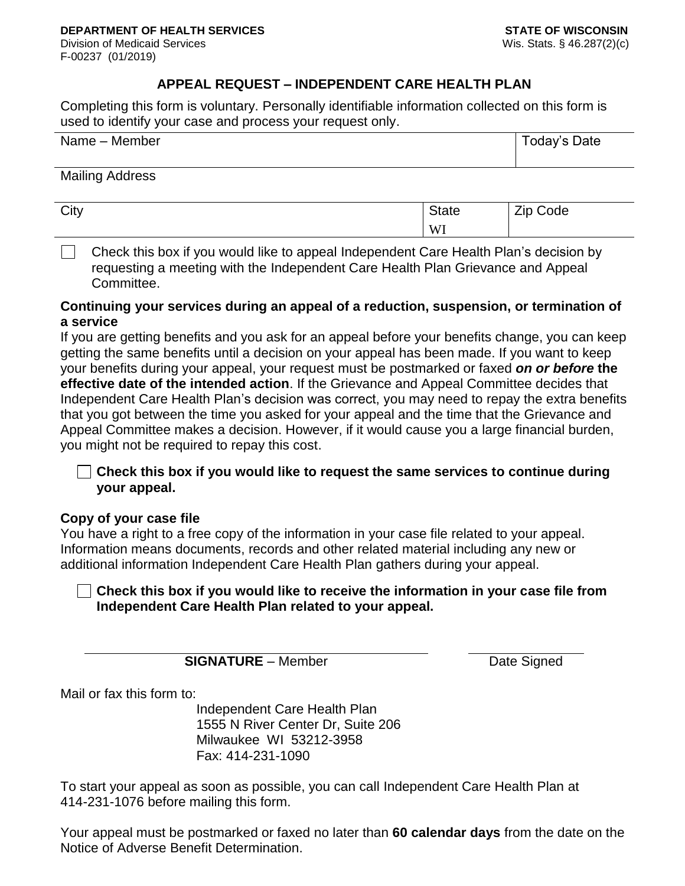#### **APPEAL REQUEST – INDEPENDENT CARE HEALTH PLAN**

Completing this form is voluntary. Personally identifiable information collected on this form is used to identify your case and process your request only.

| Name - Member | Today's Date |
|---------------|--------------|
|               |              |

Mailing Address

| City | state | Zip<br>Code |
|------|-------|-------------|
|      | WI    |             |

Check this box if you would like to appeal Independent Care Health Plan's decision by requesting a meeting with the Independent Care Health Plan Grievance and Appeal Committee.

#### **Continuing your services during an appeal of a reduction, suspension, or termination of a service**

If you are getting benefits and you ask for an appeal before your benefits change, you can keep getting the same benefits until a decision on your appeal has been made. If you want to keep your benefits during your appeal, your request must be postmarked or faxed *on or before* **the effective date of the intended action**. If the Grievance and Appeal Committee decides that Independent Care Health Plan's decision was correct, you may need to repay the extra benefits that you got between the time you asked for your appeal and the time that the Grievance and Appeal Committee makes a decision. However, if it would cause you a large financial burden, you might not be required to repay this cost.

#### **Check this box if you would like to request the same services to continue during your appeal.**

#### **Copy of your case file**

You have a right to a free copy of the information in your case file related to your appeal. Information means documents, records and other related material including any new or additional information Independent Care Health Plan gathers during your appeal.

#### **Check this box if you would like to receive the information in your case file from Independent Care Health Plan related to your appeal.**

**SIGNATURE** – Member Date Signed

Mail or fax this form to:

Independent Care Health Plan 1555 N River Center Dr, Suite 206 Milwaukee WI 53212-3958 Fax: 414-231-1090

To start your appeal as soon as possible, you can call Independent Care Health Plan at 414-231-1076 before mailing this form.

Your appeal must be postmarked or faxed no later than **60 calendar days** from the date on the Notice of Adverse Benefit Determination.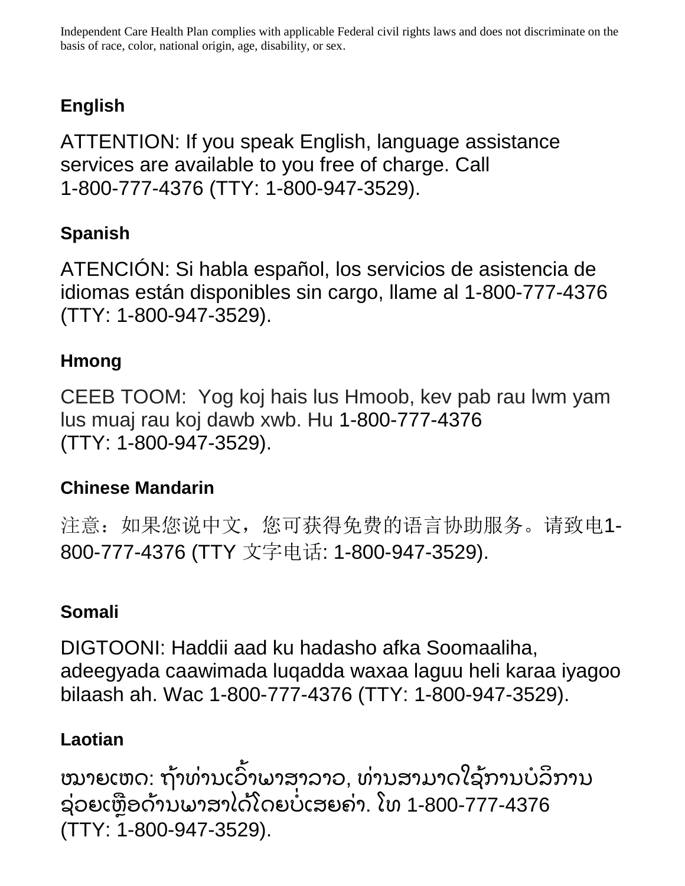Independent Care Health Plan complies with applicable Federal civil rights laws and does not discriminate on the basis of race, color, national origin, age, disability, or sex.

# **English**

ATTENTION: If you speak English, language assistance services are available to you free of charge. Call 1-800-777-4376 (TTY: 1-800-947-3529).

## **Spanish**

ATENCIÓN: Si habla español, los servicios de asistencia de idiomas están disponibles sin cargo, llame al 1-800-777-4376 (TTY: 1-800-947-3529).

### **Hmong**

CEEB TOOM: Yog koj hais lus Hmoob, kev pab rau lwm yam lus muaj rau koj dawb xwb. Hu 1-800-777-4376 (TTY: 1-800-947-3529).

### **Chinese Mandarin**

注意:如果您说中文,您可获得免费的语言协助服务。请致电1- 800-777-4376 (TTY 文字电话: 1-800-947-3529).

### **Somali**

DIGTOONI: Haddii aad ku hadasho afka Soomaaliha, adeegyada caawimada luqadda waxaa laguu heli karaa iyagoo bilaash ah. Wac 1-800-777-4376 (TTY: 1-800-947-3529).

### **Laotian**

ໝາຍເຫດ: ຖ້າທ່ານເວົາພາສາລາວ, ທ່ານສາມາດໃຊ້ການບໍລິການ ່ ່ ໍ ຊ່ວຍເຫຼືອດ້ານພາສາໄດ້ໂດຍບໍເສຍຄ່າ. ໂທ 1-800-777-4376 ໍ (TTY: 1-800-947-3529).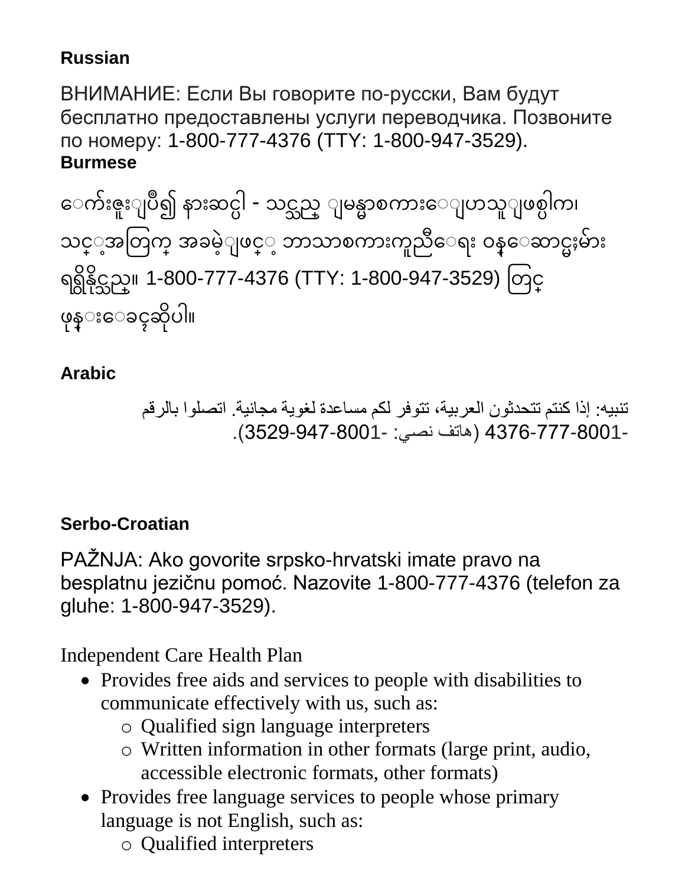# **Russian**

ВНИМАНИЕ: Если Вы говорите по-русски, Вам будут бесплатно предоставлены услуги переводчика. Позвоните по номеру: 1-800-777-4376 (TTY: 1-800-947-3529). **Burmese**

ေျက ်းဇ ်းျ ပဳ၍ န ်းဆင္ပါ - သင္သည္ျ မန္မ စက ်းေျျ ပ သ ျ ဖစပါက၊ သင္ ္ ျအ တြက အခမ ျ ဖင္ ္ ျ ဘ သ စက ်းက ညီေျရ်း ၀န္ေျဆ င္မႈမ ်း ရရ ွိန္ွိိုင္သည္။ 1-800-777-4376 (TTY: 1-800-947-3529) တြင္္ ဖိုန္ျ်းေျခၚဆွိိုပါ။

### **Arabic**

تنبيه: إذا كنتم تتحدثون العربية، تتوفر لكم مساعدة لغوية مجانية. اتصلوا بالرقم 4376-777-8001- )هاتف نصي: 3529-947-8001-(.

## **Serbo-Croatian**

PAŽNJA: Ako govorite srpsko-hrvatski imate pravo na besplatnu jezičnu pomoć. Nazovite 1-800-777-4376 (telefon za gluhe: 1-800-947-3529).

Independent Care Health Plan

- Provides free aids and services to people with disabilities to communicate effectively with us, such as:
	- o Qualified sign language interpreters
	- o Written information in other formats (large print, audio, accessible electronic formats, other formats)
- Provides free language services to people whose primary language is not English, such as:
	- o Qualified interpreters